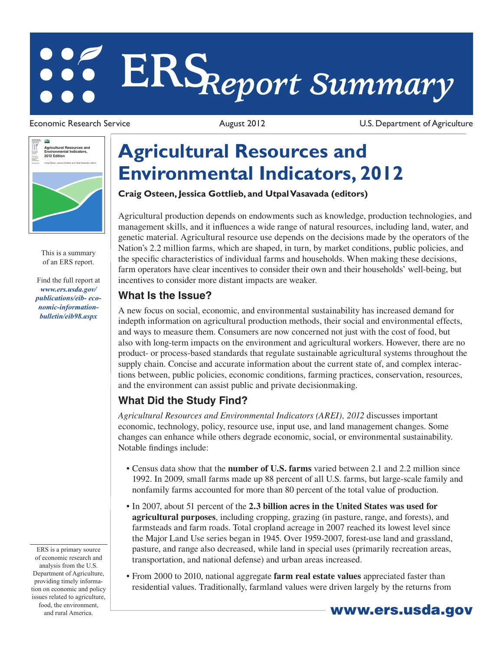# **ERS***Report Summary*

Economic Research Service **August 2012** August 2012 U.S. Department of Agriculture



This is a summary of an ERS report.

Find the full report at *www.ers.usda.gov/ publications/eib- economic-informationbulletin/eib98.aspx*

## **Agricultural Resources and Environmental Indicators, 2012**

#### **Craig Osteen, Jessica Gottlieb, and Utpal Vasavada (editors)**

Agricultural production depends on endowments such as knowledge, production technologies, and management skills, and it influences a wide range of natural resources, including land, water, and genetic material. Agricultural resource use depends on the decisions made by the operators of the Nation's 2.2 million farms, which are shaped, in turn, by market conditions, public policies, and the specific characteristics of individual farms and households. When making these decisions, farm operators have clear incentives to consider their own and their households' well-being, but incentives to consider more distant impacts are weaker.

#### **What Is the Issue?**

A new focus on social, economic, and environmental sustainability has increased demand for indepth information on agricultural production methods, their social and environmental effects, and ways to measure them. Consumers are now concerned not just with the cost of food, but also with long-term impacts on the environment and agricultural workers. However, there are no product- or process-based standards that regulate sustainable agricultural systems throughout the supply chain. Concise and accurate information about the current state of, and complex interactions between, public policies, economic conditions, farming practices, conservation, resources, and the environment can assist public and private decisionmaking.

### **What Did the Study Find?**

*Agricultural Resources and Environmental Indicators (AREI), 2012* discusses important economic, technology, policy, resource use, input use, and land management changes. Some changes can enhance while others degrade economic, social, or environmental sustainability. Notable findings include:

- • Census data show that the **number of U.S. farms** varied between 2.1 and 2.2 million since 1992. In 2009, small farms made up 88 percent of all U.S. farms, but large-scale family and nonfamily farms accounted for more than 80 percent of the total value of production.
- • In 2007, about 51 percent of the **2.3 billion acres in the United States was used for agricultural purposes**, including cropping, grazing (in pasture, range, and forests), and farmsteads and farm roads. Total cropland acreage in 2007 reached its lowest level since the Major Land Use series began in 1945. Over 1959-2007, forest-use land and grassland, pasture, and range also decreased, while land in special uses (primarily recreation areas, transportation, and national defense) and urban areas increased.
- • From 2000 to 2010, national aggregate **farm real estate values** appreciated faster than residential values. Traditionally, farmland values were driven largely by the returns from

ERS is a primary source of economic research and analysis from the U.S. Department of Agriculture, providing timely information on economic and policy issues related to agriculture, food, the environment,